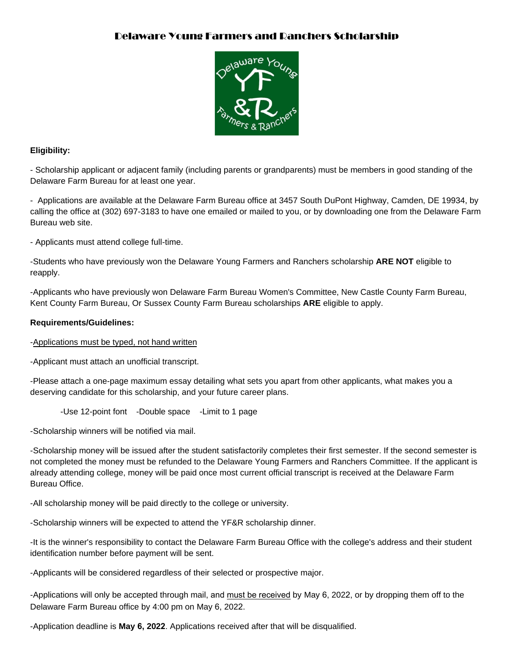### Delaware Young Farmers and Ranchers Scholarship



#### **Eligibility:**

- Scholarship applicant or adjacent family (including parents or grandparents) must be members in good standing of the Delaware Farm Bureau for at least one year.

- Applications are available at the Delaware Farm Bureau office at 3457 South DuPont Highway, Camden, DE 19934, by calling the office at (302) 697-3183 to have one emailed or mailed to you, or by downloading one from the Delaware Farm Bureau web site.

- Applicants must attend college full-time.

-Students who have previously won the Delaware Young Farmers and Ranchers scholarship **ARE NOT** eligible to reapply.

-Applicants who have previously won Delaware Farm Bureau Women's Committee, New Castle County Farm Bureau, Kent County Farm Bureau, Or Sussex County Farm Bureau scholarships **ARE** eligible to apply.

#### **Requirements/Guidelines:**

-Applications must be typed, not hand written

-Applicant must attach an unofficial transcript.

-Please attach a one-page maximum essay detailing what sets you apart from other applicants, what makes you a deserving candidate for this scholarship, and your future career plans.

-Use 12-point font -Double space -Limit to 1 page

-Scholarship winners will be notified via mail.

-Scholarship money will be issued after the student satisfactorily completes their first semester. If the second semester is not completed the money must be refunded to the Delaware Young Farmers and Ranchers Committee. If the applicant is already attending college, money will be paid once most current official transcript is received at the Delaware Farm Bureau Office.

-All scholarship money will be paid directly to the college or university.

-Scholarship winners will be expected to attend the YF&R scholarship dinner.

-It is the winner's responsibility to contact the Delaware Farm Bureau Office with the college's address and their student identification number before payment will be sent.

-Applicants will be considered regardless of their selected or prospective major.

-Applications will only be accepted through mail, and must be received by May 6, 2022, or by dropping them off to the Delaware Farm Bureau office by 4:00 pm on May 6, 2022.

-Application deadline is **May 6, 2022**. Applications received after that will be disqualified.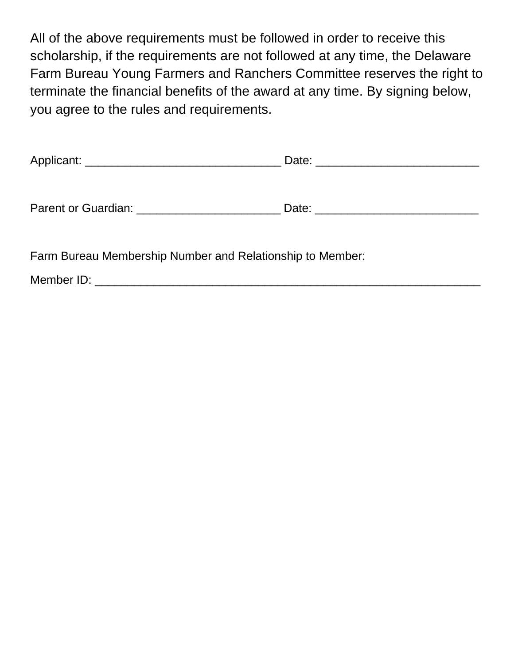All of the above requirements must be followed in order to receive this scholarship, if the requirements are not followed at any time, the Delaware Farm Bureau Young Farmers and Ranchers Committee reserves the right to terminate the financial benefits of the award at any time. By signing below, you agree to the rules and requirements.

|                                                                                       | Date: <u>_________________________</u> |
|---------------------------------------------------------------------------------------|----------------------------------------|
| Parent or Guardian: New York Changes and Separate Service Changes and Service Changes |                                        |
| Farm Bureau Membership Number and Relationship to Member:                             |                                        |

Member ID: \_\_\_\_\_\_\_\_\_\_\_\_\_\_\_\_\_\_\_\_\_\_\_\_\_\_\_\_\_\_\_\_\_\_\_\_\_\_\_\_\_\_\_\_\_\_\_\_\_\_\_\_\_\_\_\_\_\_\_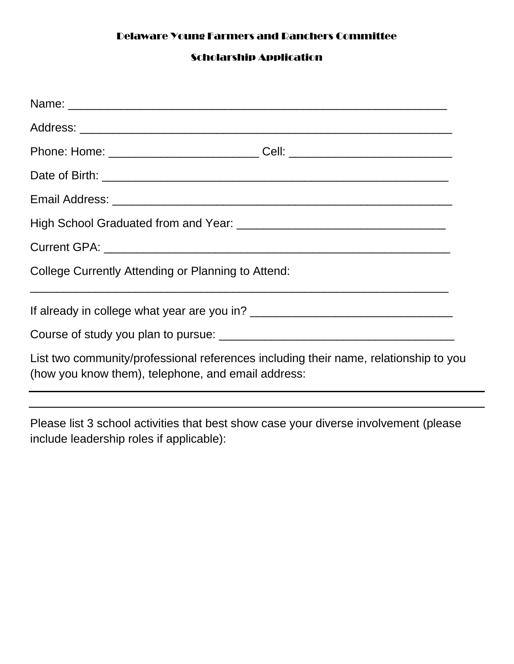## Delaware Young Farmers and Ranchers Committee

# Scholarship Application

| Phone: Home: _________________________________Cell: ____________________________                                                           |  |  |
|--------------------------------------------------------------------------------------------------------------------------------------------|--|--|
|                                                                                                                                            |  |  |
|                                                                                                                                            |  |  |
|                                                                                                                                            |  |  |
|                                                                                                                                            |  |  |
| College Currently Attending or Planning to Attend:                                                                                         |  |  |
|                                                                                                                                            |  |  |
|                                                                                                                                            |  |  |
| List two community/professional references including their name, relationship to you<br>(how you know them), telephone, and email address: |  |  |

Please list 3 school activities that best show case your diverse involvement (please include leadership roles if applicable):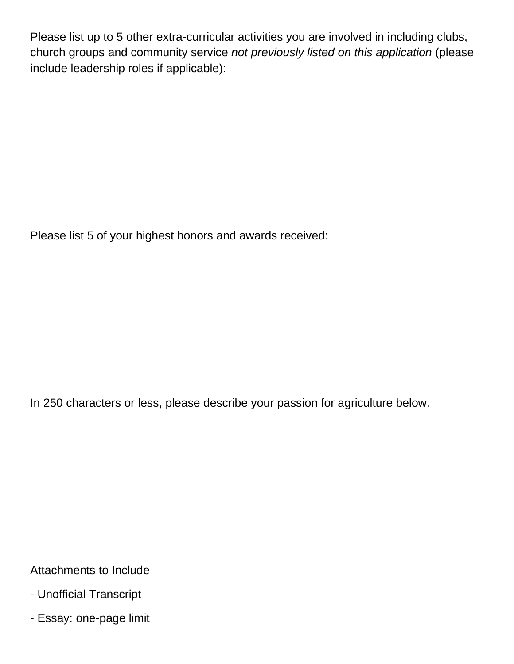Please list up to 5 other extra-curricular activities you are involved in including clubs, church groups and community service *not previously listed on this application* (please include leadership roles if applicable):

Please list 5 of your highest honors and awards received:

In 250 characters or less, please describe your passion for agriculture below.

Attachments to Include

- Unofficial Transcript
- Essay: one-page limit